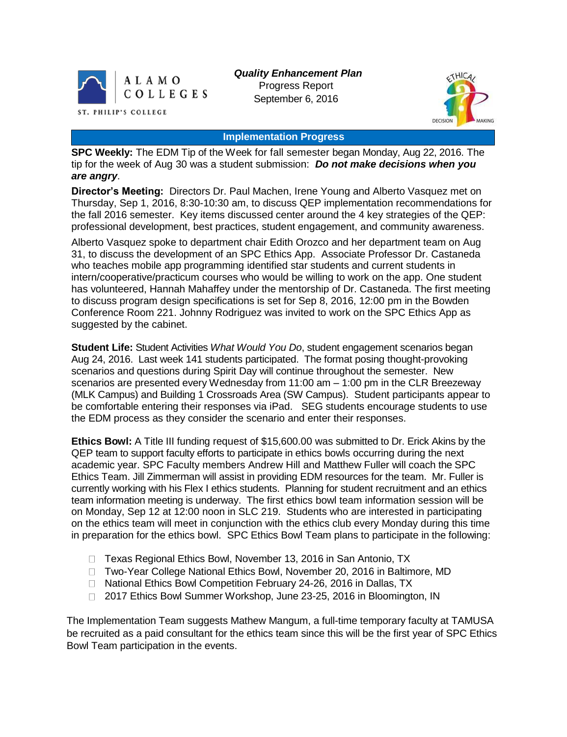

*Quality Enhancement Plan* Progress Report September 6, 2016



#### **Implementation Progress**

**SPC Weekly:** The EDM Tip of the Week for fall semester began Monday, Aug 22, 2016. The tip for the week of Aug 30 was a student submission: *Do not make decisions when you are angry*.

**Director's Meeting:** Directors Dr. Paul Machen, Irene Young and Alberto Vasquez met on Thursday, Sep 1, 2016, 8:30-10:30 am, to discuss QEP implementation recommendations for the fall 2016 semester. Key items discussed center around the 4 key strategies of the QEP: professional development, best practices, student engagement, and community awareness.

Alberto Vasquez spoke to department chair Edith Orozco and her department team on Aug 31, to discuss the development of an SPC Ethics App. Associate Professor Dr. Castaneda who teaches mobile app programming identified star students and current students in intern/cooperative/practicum courses who would be willing to work on the app. One student has volunteered, Hannah Mahaffey under the mentorship of Dr. Castaneda. The first meeting to discuss program design specifications is set for Sep 8, 2016, 12:00 pm in the Bowden Conference Room 221. Johnny Rodriguez was invited to work on the SPC Ethics App as suggested by the cabinet.

**Student Life:** Student Activities *What Would You Do*, student engagement scenarios began Aug 24, 2016. Last week 141 students participated. The format posing thought-provoking scenarios and questions during Spirit Day will continue throughout the semester. New scenarios are presented every Wednesday from 11:00 am – 1:00 pm in the CLR Breezeway (MLK Campus) and Building 1 Crossroads Area (SW Campus). Student participants appear to be comfortable entering their responses via iPad. SEG students encourage students to use the EDM process as they consider the scenario and enter their responses.

**Ethics Bowl:** A Title III funding request of \$15,600.00 was submitted to Dr. Erick Akins by the QEP team to support faculty efforts to participate in ethics bowls occurring during the next academic year. SPC Faculty members Andrew Hill and Matthew Fuller will coach the SPC Ethics Team. Jill Zimmerman will assist in providing EDM resources for the team. Mr. Fuller is currently working with his Flex I ethics students. Planning for student recruitment and an ethics team information meeting is underway. The first ethics bowl team information session will be on Monday, Sep 12 at 12:00 noon in SLC 219. Students who are interested in participating on the ethics team will meet in conjunction with the ethics club every Monday during this time in preparation for the ethics bowl. SPC Ethics Bowl Team plans to participate in the following:

- □ Texas Regional Ethics Bowl, November 13, 2016 in San Antonio, TX
- □ Two-Year College National Ethics Bowl, November 20, 2016 in Baltimore, MD
- □ National Ethics Bowl Competition February 24-26, 2016 in Dallas, TX
- □ 2017 Ethics Bowl Summer Workshop, June 23-25, 2016 in Bloomington, IN

The Implementation Team suggests Mathew Mangum, a full-time temporary faculty at TAMUSA be recruited as a paid consultant for the ethics team since this will be the first year of SPC Ethics Bowl Team participation in the events.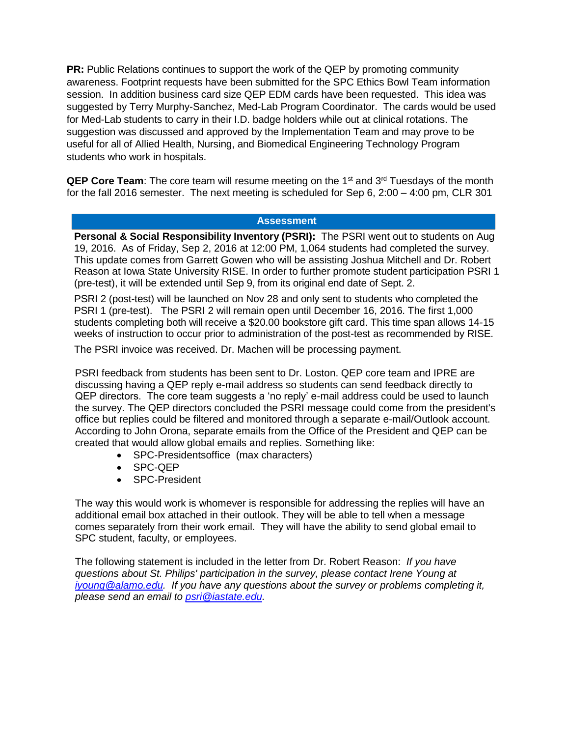**PR:** Public Relations continues to support the work of the QEP by promoting community awareness. Footprint requests have been submitted for the SPC Ethics Bowl Team information session. In addition business card size QEP EDM cards have been requested. This idea was suggested by Terry Murphy-Sanchez, Med-Lab Program Coordinator. The cards would be used for Med-Lab students to carry in their I.D. badge holders while out at clinical rotations. The suggestion was discussed and approved by the Implementation Team and may prove to be useful for all of Allied Health, Nursing, and Biomedical Engineering Technology Program students who work in hospitals.

**QEP Core Team**: The core team will resume meeting on the 1<sup>st</sup> and 3<sup>rd</sup> Tuesdays of the month for the fall 2016 semester. The next meeting is scheduled for Sep 6, 2:00 – 4:00 pm, CLR 301

## **Assessment**

**Personal & Social Responsibility Inventory (PSRI):** The PSRI went out to students on Aug 19, 2016. As of Friday, Sep 2, 2016 at 12:00 PM, 1,064 students had completed the survey. This update comes from Garrett Gowen who will be assisting Joshua Mitchell and Dr. Robert Reason at Iowa State University RISE. In order to further promote student participation PSRI 1 (pre-test), it will be extended until Sep 9, from its original end date of Sept. 2.

PSRI 2 (post-test) will be launched on Nov 28 and only sent to students who completed the PSRI 1 (pre-test). The PSRI 2 will remain open until December 16, 2016. The first 1,000 students completing both will receive a \$20.00 bookstore gift card. This time span allows 14-15 weeks of instruction to occur prior to administration of the post-test as recommended by RISE.

The PSRI invoice was received. Dr. Machen will be processing payment.

PSRI feedback from students has been sent to Dr. Loston. QEP core team and IPRE are discussing having a QEP reply e-mail address so students can send feedback directly to QEP directors. The core team suggests a 'no reply' e-mail address could be used to launch the survey. The QEP directors concluded the PSRI message could come from the president's office but replies could be filtered and monitored through a separate e-mail/Outlook account. According to John Orona, separate emails from the Office of the President and QEP can be created that would allow global emails and replies. Something like:

- SPC-Presidentsoffice (max characters)
- SPC-QEP
- SPC-President

The way this would work is whomever is responsible for addressing the replies will have an additional email box attached in their outlook. They will be able to tell when a message comes separately from their work email. They will have the ability to send global email to SPC student, faculty, or employees.

The following statement is included in the letter from Dr. Robert Reason: *If you have questions about St. Philips' participation in the survey, please contact Irene Young at [iyoung@alamo.edu.](file:///C:/Users/iyoung/AppData/Local/Temp/iyoung@alamo.edu) If you have any questions about the survey or problems completing it, please send an email to [psri@iastate.edu.](https://mail.alamo.edu/owa/redir.aspx?C=Ctb0aqZl7nzZrqQRaG-5tqT_Zo6MnscI-9y_aQ8sVRnJY7BpUdDTCA..&URL=mailto%3apsri%40iastate.edu)*